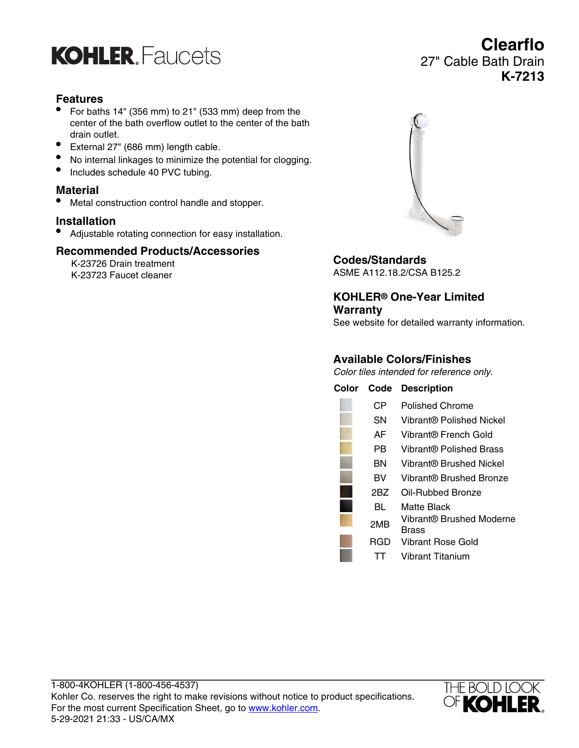

### **Features**

- For baths 14" (356 mm) to 21" (533 mm) deep from the center of the bath overflow outlet to the center of the bath drain outlet.
- External 27" (686 mm) length cable.
- No internal linkages to minimize the potential for clogging.
- Includes schedule 40 PVC tubing.

# **Material**

• Metal construction control handle and stopper.

#### **Installation**

• Adjustable rotating connection for easy installation.

#### **Recommended Products/Accessories**

K-23726 Drain treatment K-23723 Faucet cleaner

1-800-4KOHLER (1-800-456-4537)

5-29-2021 21:33 - US/CA/MX



**Clearflo**

**K-7213**

27" Cable Bath Drain

**Codes/Standards**

ASME A112.18.2/CSA B125.2

**KOHLER® One-Year Limited Warranty**

See website for detailed warranty information.

#### **Available Colors/Finishes**

Color tiles intended for reference only.

| Color | Code | <b>Description</b>                |
|-------|------|-----------------------------------|
|       | CР   | Polished Chrome                   |
|       | SN   | Vibrant® Polished Nickel          |
|       | AF.  | Vibrant® French Gold              |
|       | РR   | Vibrant® Polished Brass           |
|       | вN   | Vibrant® Brushed Nickel           |
|       | вv   | Vibrant® Brushed Bronze           |
|       | 2BZ  | Oil-Rubbed Bronze                 |
|       | BL   | Matte Black                       |
|       | 2MB  | Vibrant® Brushed Moderne<br>Brass |
|       | RGD  | Vibrant Rose Gold                 |
|       |      | Vibrant Titanium                  |